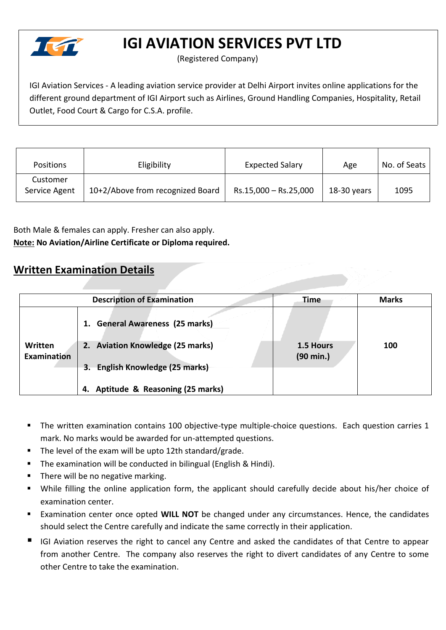

# **IGI AVIATION SERVICES PVT LTD**

(Registered Company)

IGI Aviation Services - A leading aviation service provider at Delhi Airport invites online applications for the different ground department of IGI Airport such as Airlines, Ground Handling Companies, Hospitality, Retail Outlet, Food Court & Cargo for C.S.A. profile.

| <b>Positions</b>          | Eligibility                      | <b>Expected Salary</b> | Age         | No. of Seats |
|---------------------------|----------------------------------|------------------------|-------------|--------------|
| Customer<br>Service Agent | 10+2/Above from recognized Board | Rs.15,000 - Rs.25,000  | 18-30 years | 1095         |

Both Male & females can apply. Fresher can also apply. **Note: No Aviation/Airline Certificate or Diploma required.**

#### **Written Examination Details**

|                               | <b>Description of Examination</b>     | <b>Time</b>                      | <b>Marks</b> |
|-------------------------------|---------------------------------------|----------------------------------|--------------|
|                               | <b>General Awareness (25 marks)</b>   |                                  |              |
| Written<br><b>Examination</b> | 2. Aviation Knowledge (25 marks)      | 1.5 Hours<br>$(90 \text{ min.})$ | 100          |
|                               | English Knowledge (25 marks)<br>3.    |                                  |              |
|                               | Aptitude & Reasoning (25 marks)<br>4. |                                  |              |

- The written examination contains 100 objective-type multiple-choice questions. Each question carries 1 mark. No marks would be awarded for un-attempted questions.
- The level of the exam will be upto 12th standard/grade.
- The examination will be conducted in bilingual (English & Hindi).
- There will be no negative marking.
- While filling the online application form, the applicant should carefully decide about his/her choice of examination center.
- Examination center once opted **WILL NOT** be changed under any circumstances. Hence, the candidates should select the Centre carefully and indicate the same correctly in their application.
- IGI Aviation reserves the right to cancel any Centre and asked the candidates of that Centre to appear from another Centre. The company also reserves the right to divert candidates of any Centre to some other Centre to take the examination.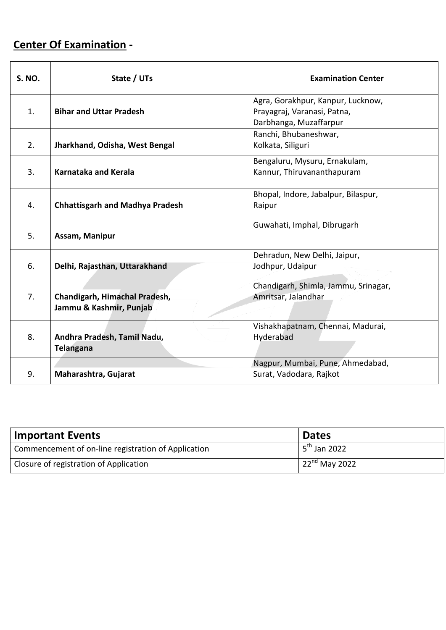# **Center Of Examination -**

| <b>S. NO.</b> | State / UTs                                              | <b>Examination Center</b>                                                                  |
|---------------|----------------------------------------------------------|--------------------------------------------------------------------------------------------|
| 1.            | <b>Bihar and Uttar Pradesh</b>                           | Agra, Gorakhpur, Kanpur, Lucknow,<br>Prayagraj, Varanasi, Patna,<br>Darbhanga, Muzaffarpur |
| 2.            | Jharkhand, Odisha, West Bengal                           | Ranchi, Bhubaneshwar,<br>Kolkata, Siliguri                                                 |
| 3.            | Karnataka and Kerala                                     | Bengaluru, Mysuru, Ernakulam,<br>Kannur, Thiruvananthapuram                                |
| 4.            | <b>Chhattisgarh and Madhya Pradesh</b>                   | Bhopal, Indore, Jabalpur, Bilaspur,<br>Raipur                                              |
| 5.            | Assam, Manipur                                           | Guwahati, Imphal, Dibrugarh                                                                |
| 6.            | Delhi, Rajasthan, Uttarakhand                            | Dehradun, New Delhi, Jaipur,<br>Jodhpur, Udaipur                                           |
| 7.            | Chandigarh, Himachal Pradesh,<br>Jammu & Kashmir, Punjab | Chandigarh, Shimla, Jammu, Srinagar,<br>Amritsar, Jalandhar                                |
| 8.            | Andhra Pradesh, Tamil Nadu,<br><b>Telangana</b>          | Vishakhapatnam, Chennai, Madurai,<br>Hyderabad                                             |
| 9.            | Maharashtra, Gujarat                                     | Nagpur, Mumbai, Pune, Ahmedabad,<br>Surat, Vadodara, Rajkot                                |

| <b>Important Events</b>                             | <b>Dates</b>              |
|-----------------------------------------------------|---------------------------|
| Commencement of on-line registration of Application | 5 <sup>th</sup> Jan 2022  |
| Closure of registration of Application              | $\sqrt{22^{nd}}$ May 2022 |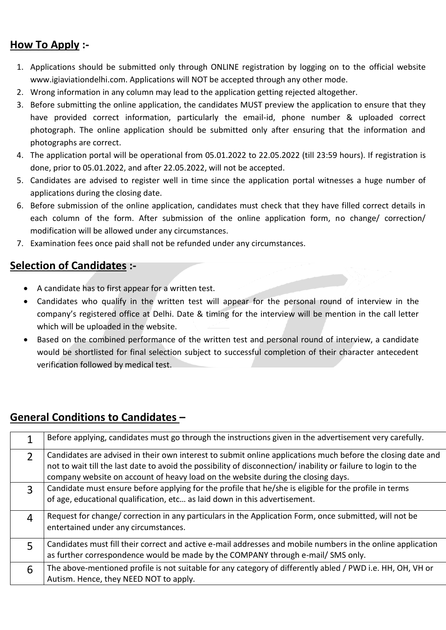### **How To Apply :-**

- 1. Applications should be submitted only through ONLINE registration by logging on to the official website www.igiaviationdelhi.com. Applications will NOT be accepted through any other mode.
- 2. Wrong information in any column may lead to the application getting rejected altogether.
- 3. Before submitting the online application, the candidates MUST preview the application to ensure that they have provided correct information, particularly the email-id, phone number & uploaded correct photograph. The online application should be submitted only after ensuring that the information and photographs are correct.
- 4. The application portal will be operational from 05.01.2022 to 22.05.2022 (till 23:59 hours). If registration is done, prior to 05.01.2022, and after 22.05.2022, will not be accepted.
- 5. Candidates are advised to register well in time since the application portal witnesses a huge number of applications during the closing date.
- 6. Before submission of the online application, candidates must check that they have filled correct details in each column of the form. After submission of the online application form, no change/ correction/ modification will be allowed under any circumstances.
- 7. Examination fees once paid shall not be refunded under any circumstances.

#### **Selection of Candidates :-**

- A candidate has to first appear for a written test.
- Candidates who qualify in the written test will appear for the personal round of interview in the company's registered office at Delhi. Date & timing for the interview will be mention in the call letter which will be uploaded in the website.
- Based on the combined performance of the written test and personal round of interview, a candidate would be shortlisted for final selection subject to successful completion of their character antecedent verification followed by medical test.

## **General Conditions to Candidates –**

|                | Before applying, candidates must go through the instructions given in the advertisement very carefully.                                                                                                                                                                                                           |
|----------------|-------------------------------------------------------------------------------------------------------------------------------------------------------------------------------------------------------------------------------------------------------------------------------------------------------------------|
| $\mathfrak{D}$ | Candidates are advised in their own interest to submit online applications much before the closing date and<br>not to wait till the last date to avoid the possibility of disconnection/ inability or failure to login to the<br>company website on account of heavy load on the website during the closing days. |
| $\mathbf{R}$   | Candidate must ensure before applying for the profile that he/she is eligible for the profile in terms<br>of age, educational qualification, etc as laid down in this advertisement.                                                                                                                              |
| 4              | Request for change/ correction in any particulars in the Application Form, once submitted, will not be<br>entertained under any circumstances.                                                                                                                                                                    |
| 5              | Candidates must fill their correct and active e-mail addresses and mobile numbers in the online application<br>as further correspondence would be made by the COMPANY through e-mail/ SMS only.                                                                                                                   |
| 6              | The above-mentioned profile is not suitable for any category of differently abled / PWD i.e. HH, OH, VH or<br>Autism. Hence, they NEED NOT to apply.                                                                                                                                                              |